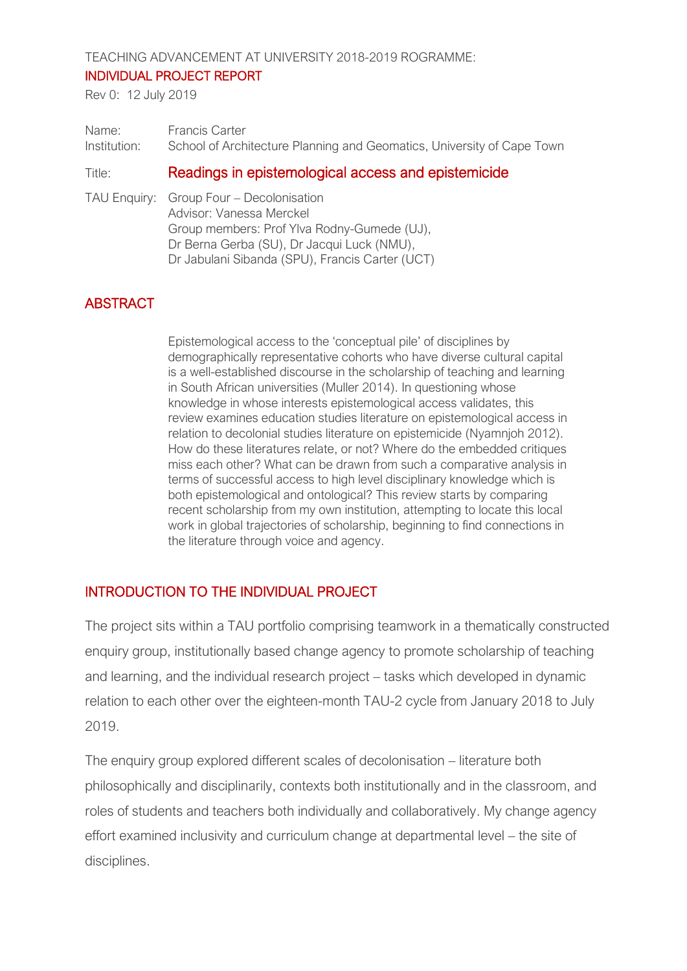TEACHING ADVANCEMENT AT UNIVERSITY 2018-2019 ROGRAMME:

#### INDIVIDUAL PROJECT REPORT

Rev 0: 12 July 2019

| Name:        | <b>Francis Carter</b>                                                  |
|--------------|------------------------------------------------------------------------|
| Institution: | School of Architecture Planning and Geomatics, University of Cape Town |
|              |                                                                        |

### Title: Readings in epistemological access and epistemicide

TAU Enquiry: Group Four – Decolonisation Advisor: Vanessa Merckel Group members: Prof Ylva Rodny-Gumede (UJ), Dr Berna Gerba (SU), Dr Jacqui Luck (NMU), Dr Jabulani Sibanda (SPU), Francis Carter (UCT)

# ABSTRACT

Epistemological access to the 'conceptual pile' of disciplines by demographically representative cohorts who have diverse cultural capital is a well-established discourse in the scholarship of teaching and learning in South African universities (Muller 2014). In questioning whose knowledge in whose interests epistemological access validates, this review examines education studies literature on epistemological access in relation to decolonial studies literature on epistemicide (Nyamnjoh 2012). How do these literatures relate, or not? Where do the embedded critiques miss each other? What can be drawn from such a comparative analysis in terms of successful access to high level disciplinary knowledge which is both epistemological and ontological? This review starts by comparing recent scholarship from my own institution, attempting to locate this local work in global trajectories of scholarship, beginning to find connections in the literature through voice and agency.

## INTRODUCTION TO THE INDIVIDUAL PROJECT

The project sits within a TAU portfolio comprising teamwork in a thematically constructed enquiry group, institutionally based change agency to promote scholarship of teaching and learning, and the individual research project – tasks which developed in dynamic relation to each other over the eighteen-month TAU-2 cycle from January 2018 to July 2019.

The enquiry group explored different scales of decolonisation – literature both philosophically and disciplinarily, contexts both institutionally and in the classroom, and roles of students and teachers both individually and collaboratively. My change agency effort examined inclusivity and curriculum change at departmental level – the site of disciplines.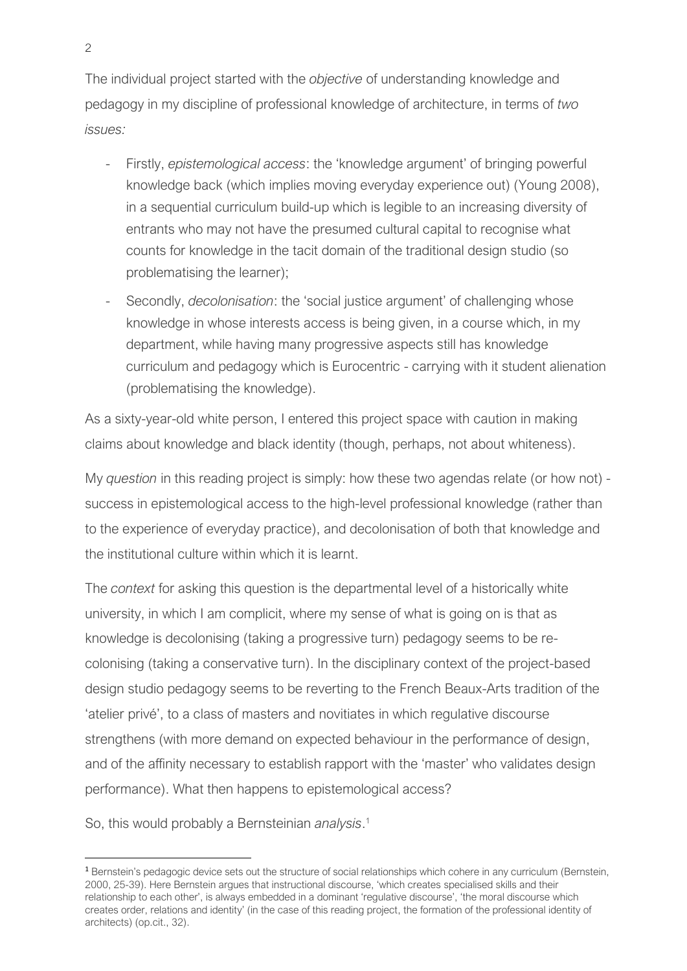The individual project started with the *objective* of understanding knowledge and pedagogy in my discipline of professional knowledge of architecture, in terms of *two issues:*

- Firstly, *epistemological access*: the 'knowledge argument' of bringing powerful knowledge back (which implies moving everyday experience out) (Young 2008), in a sequential curriculum build-up which is legible to an increasing diversity of entrants who may not have the presumed cultural capital to recognise what counts for knowledge in the tacit domain of the traditional design studio (so problematising the learner);
- Secondly, *decolonisation*: the 'social justice argument' of challenging whose knowledge in whose interests access is being given, in a course which, in my department, while having many progressive aspects still has knowledge curriculum and pedagogy which is Eurocentric - carrying with it student alienation (problematising the knowledge).

As a sixty-year-old white person, I entered this project space with caution in making claims about knowledge and black identity (though, perhaps, not about whiteness).

My *question* in this reading project is simply: how these two agendas relate (or how not) success in epistemological access to the high-level professional knowledge (rather than to the experience of everyday practice), and decolonisation of both that knowledge and the institutional culture within which it is learnt.

The *context* for asking this question is the departmental level of a historically white university, in which I am complicit, where my sense of what is going on is that as knowledge is decolonising (taking a progressive turn) pedagogy seems to be recolonising (taking a conservative turn). In the disciplinary context of the project-based design studio pedagogy seems to be reverting to the French Beaux-Arts tradition of the 'atelier privé', to a class of masters and novitiates in which regulative discourse strengthens (with more demand on expected behaviour in the performance of design, and of the affinity necessary to establish rapport with the 'master' who validates design performance). What then happens to epistemological access?

So, this would probably a Bernsteinian *analysis*. 1

 $\overline{a}$ 

<sup>&</sup>lt;sup>1</sup> Bernstein's pedagogic device sets out the structure of social relationships which cohere in any curriculum (Bernstein, 2000, 25-39). Here Bernstein argues that instructional discourse, 'which creates specialised skills and their relationship to each other', is always embedded in a dominant 'regulative discourse', 'the moral discourse which creates order, relations and identity' (in the case of this reading project, the formation of the professional identity of architects) (op.cit., 32).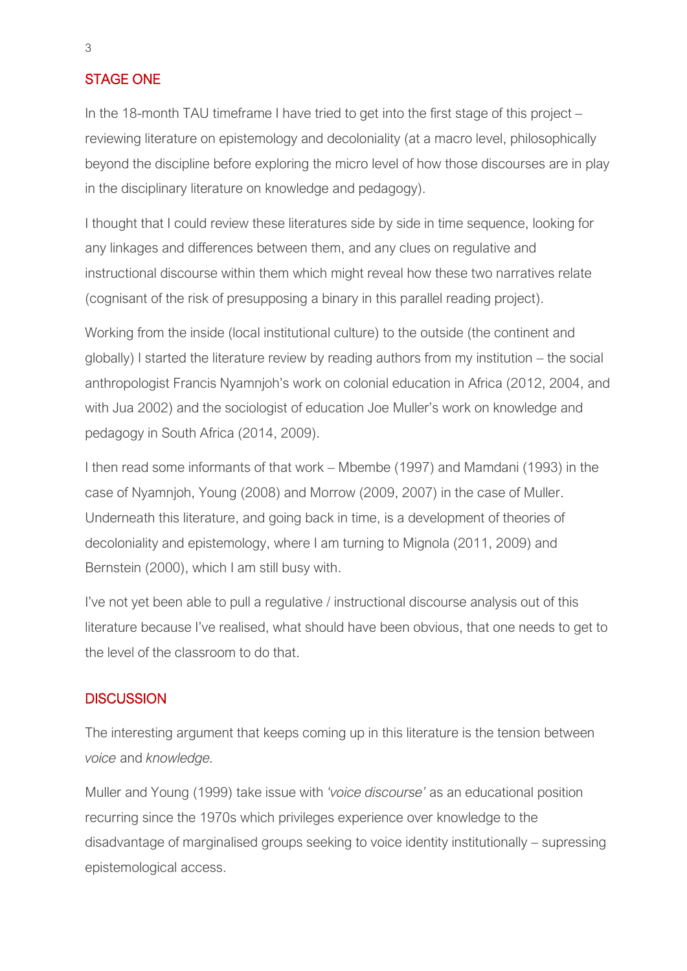### STAGE ONE

In the 18-month TAU timeframe I have tried to get into the first stage of this project – reviewing literature on epistemology and decoloniality (at a macro level, philosophically beyond the discipline before exploring the micro level of how those discourses are in play in the disciplinary literature on knowledge and pedagogy).

I thought that I could review these literatures side by side in time sequence, looking for any linkages and differences between them, and any clues on regulative and instructional discourse within them which might reveal how these two narratives relate (cognisant of the risk of presupposing a binary in this parallel reading project).

Working from the inside (local institutional culture) to the outside (the continent and globally) I started the literature review by reading authors from my institution – the social anthropologist Francis Nyamnjoh's work on colonial education in Africa (2012, 2004, and with Jua 2002) and the sociologist of education Joe Muller's work on knowledge and pedagogy in South Africa (2014, 2009).

I then read some informants of that work – Mbembe (1997) and Mamdani (1993) in the case of Nyamnjoh, Young (2008) and Morrow (2009, 2007) in the case of Muller. Underneath this literature, and going back in time, is a development of theories of decoloniality and epistemology, where I am turning to Mignola (2011, 2009) and Bernstein (2000), which I am still busy with.

I've not yet been able to pull a regulative / instructional discourse analysis out of this literature because I've realised, what should have been obvious, that one needs to get to the level of the classroom to do that.

### **DISCUSSION**

The interesting argument that keeps coming up in this literature is the tension between *voice* and *knowledge.*

Muller and Young (1999) take issue with *'voice discourse'* as an educational position recurring since the 1970s which privileges experience over knowledge to the disadvantage of marginalised groups seeking to voice identity institutionally – supressing epistemological access.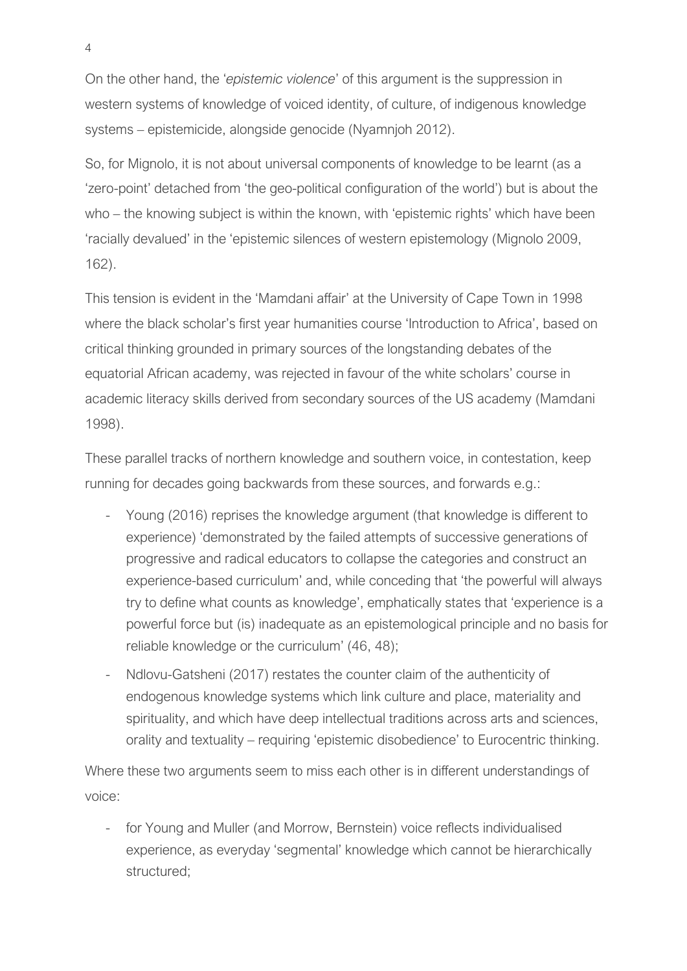On the other hand, the '*epistemic violence*' of this argument is the suppression in western systems of knowledge of voiced identity, of culture, of indigenous knowledge systems – epistemicide, alongside genocide (Nyamnjoh 2012).

So, for Mignolo, it is not about universal components of knowledge to be learnt (as a 'zero-point' detached from 'the geo-political configuration of the world') but is about the who – the knowing subject is within the known, with 'epistemic rights' which have been 'racially devalued' in the 'epistemic silences of western epistemology (Mignolo 2009, 162).

This tension is evident in the 'Mamdani affair' at the University of Cape Town in 1998 where the black scholar's first year humanities course 'Introduction to Africa', based on critical thinking grounded in primary sources of the longstanding debates of the equatorial African academy, was rejected in favour of the white scholars' course in academic literacy skills derived from secondary sources of the US academy (Mamdani 1998).

These parallel tracks of northern knowledge and southern voice, in contestation, keep running for decades going backwards from these sources, and forwards e.g.:

- Young (2016) reprises the knowledge argument (that knowledge is different to experience) 'demonstrated by the failed attempts of successive generations of progressive and radical educators to collapse the categories and construct an experience-based curriculum' and, while conceding that 'the powerful will always try to define what counts as knowledge', emphatically states that 'experience is a powerful force but (is) inadequate as an epistemological principle and no basis for reliable knowledge or the curriculum' (46, 48);
- Ndlovu-Gatsheni (2017) restates the counter claim of the authenticity of endogenous knowledge systems which link culture and place, materiality and spirituality, and which have deep intellectual traditions across arts and sciences, orality and textuality – requiring 'epistemic disobedience' to Eurocentric thinking.

Where these two arguments seem to miss each other is in different understandings of voice:

- for Young and Muller (and Morrow, Bernstein) voice reflects individualised experience, as everyday 'segmental' knowledge which cannot be hierarchically structured;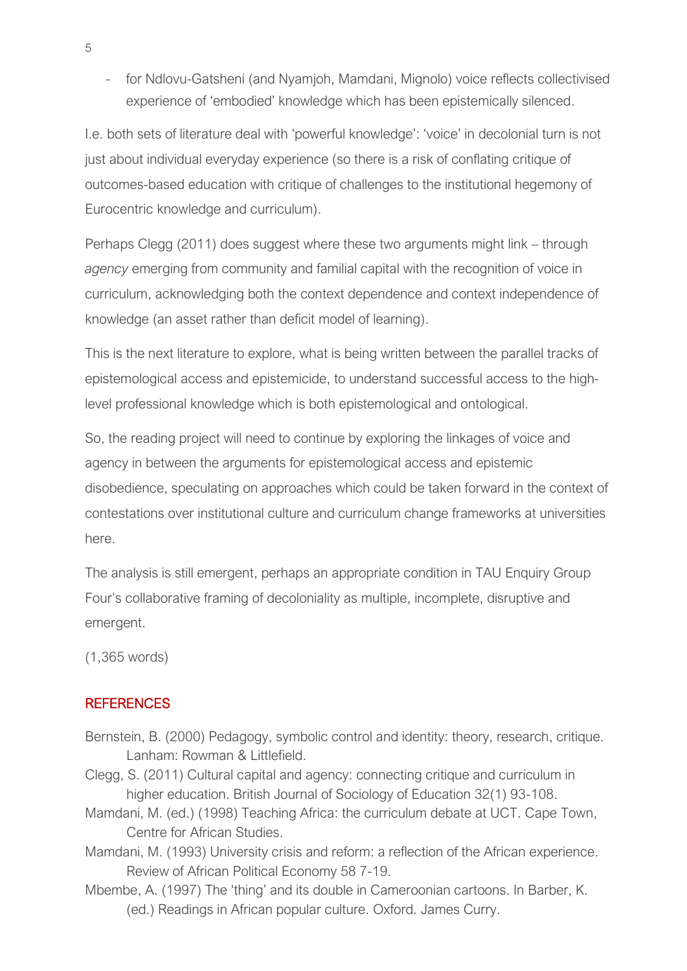- for Ndlovu-Gatsheni (and Nyamjoh, Mamdani, Mignolo) voice reflects collectivised experience of 'embodied' knowledge which has been epistemically silenced.

I.e. both sets of literature deal with 'powerful knowledge': 'voice' in decolonial turn is not just about individual everyday experience (so there is a risk of conflating critique of outcomes-based education with critique of challenges to the institutional hegemony of Eurocentric knowledge and curriculum).

Perhaps Clegg (2011) does suggest where these two arguments might link – through *agency* emerging from community and familial capital with the recognition of voice in curriculum, acknowledging both the context dependence and context independence of knowledge (an asset rather than deficit model of learning).

This is the next literature to explore, what is being written between the parallel tracks of epistemological access and epistemicide, to understand successful access to the highlevel professional knowledge which is both epistemological and ontological.

So, the reading project will need to continue by exploring the linkages of voice and agency in between the arguments for epistemological access and epistemic disobedience, speculating on approaches which could be taken forward in the context of contestations over institutional culture and curriculum change frameworks at universities here.

The analysis is still emergent, perhaps an appropriate condition in TAU Enquiry Group Four's collaborative framing of decoloniality as multiple, incomplete, disruptive and emergent.

(1,365 words)

### REFERENCES

- Bernstein, B. (2000) Pedagogy, symbolic control and identity: theory, research, critique. Lanham: Rowman & Littlefield.
- Clegg, S. (2011) Cultural capital and agency: connecting critique and curriculum in higher education. British Journal of Sociology of Education 32(1) 93-108.
- Mamdani, M. (ed.) (1998) Teaching Africa: the curriculum debate at UCT. Cape Town, Centre for African Studies.
- Mamdani, M. (1993) University crisis and reform: a reflection of the African experience. Review of African Political Economy 58 7-19.
- Mbembe, A. (1997) The 'thing' and its double in Cameroonian cartoons. In Barber, K. (ed.) Readings in African popular culture. Oxford. James Curry.